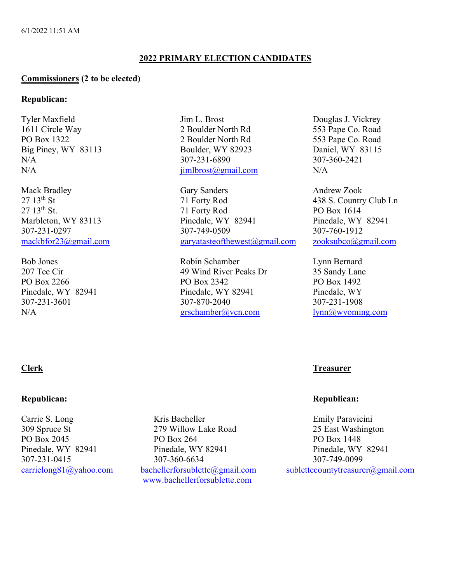# **2022 PRIMARY ELECTION CANDIDATES**

### **Commissioners (2 to be elected)**

### **Republican:**

Tyler Maxfield Jim L. Brost Douglas J. Vickrey 1611 Circle Way 2 Boulder North Rd 553 Pape Co. Road PO Box 1322 2 Boulder North Rd 553 Pape Co. Road Big Piney, WY 83113 Boulder, WY 82923 Daniel, WY 83115 N/A  $307-231-6890$   $307-360-2421$  $N/A$  jimlbrost@gmail.com  $N/A$ 

Mack Bradley Gary Sanders Andrew Zook<br>
27 13<sup>th</sup> St 27 13<sup>th</sup> St 27 13th St 27 13th St 27 13th St 27 15th Andrew Zook  $27 \t13<sup>th</sup>$  St  $27 \t13<sup>th</sup>$  St.<br>  $27 \t13<sup>th</sup>$  St.<br>  $27 \t13<sup>th</sup>$  St.<br>  $27 \t13<sup>th</sup>$  St.<br>  $27 \t13<sup>th</sup>$  St.<br>  $27 \t13<sup>th</sup>$  St. 21 Forty Rod PO Box 1614 Marbleton, WY 83113 Pinedale, WY 82941 Pinedale, WY 82941 307-231-0297 307-749-0509 307-760-1912 mackbfor23@gmail.com garyatasteofthewest@gmail.com zooksubco@gmail.com

Bob Jones Robin Schamber Lynn Bernard 207 Tee Cir and 29 Wind River Peaks Dr 35 Sandy Lane PO Box 2266 PO Box 2342 PO Box 1492 Pinedale, WY 82941 Pinedale, WY 82941 Pinedale, WY 307-231-3601 307-870-2040 307-231-1908 N/A grschamber@vcn.com lynn@wyoming.com

# **Republican: Republican:**

Carrie S. Long Kris Bacheller Emily Paravicini 309 Spruce St 279 Willow Lake Road 25 East Washington PO Box 2045 PO Box 264 PO Box 1448 Pinedale, WY 82941 Pinedale, WY 82941 Pinedale, WY 82941 307-231-0415 307-360-6634 307-749-0099 www.bachellerforsublette.com

# **Clerk Treasurer**

carrielong81@yahoo.com bachellerforsublette@gmail.com sublettecountytreasurer@gmail.com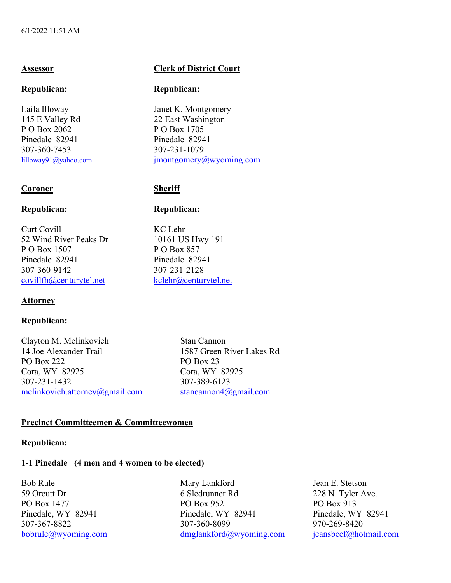145 E Valley Rd 22 East Washington P O Box 2062 P O Box 1705 Pinedale 82941 Pinedale 82941 307-360-7453 307-231-1079

## **Coroner Sheriff**

### **Republican: Republican:**

Curt Covill KC Lehr 52 Wind River Peaks Dr 10161 US Hwy 191 P O Box 1507 P O Box 857 Pinedale 82941 Pinedale 82941 307-360-9142 307-231-2128 covillfh@centurytel.net kclehr@centurytel.net

### **Attorney**

### **Republican:**

Clayton M. Melinkovich Stan Cannon 14 Joe Alexander Trail 1587 Green River Lakes Rd PO Box 222 PO Box 23 Cora, WY 82925 Cora, WY 82925 307-231-1432 307-389-6123 melinkovich.attorney@gmail.com stancannon4@gmail.com

# **Assessor Clerk of District Court**

### **Republican: Republican:**

Laila Illoway Janet K. Montgomery lilloway91@yahoo.com jmontgomery@wyoming.com

## **Precinct Committeemen & Committeewomen**

### **Republican:**

# **1-1 Pinedale (4 men and 4 women to be elected)**

Bob Rule Mary Lankford Jean E. Stetson 59 Orcutt Dr<br>
59 Orcutt Dr<br>
59 Orcutt Dr<br>
59 Orcutt Dr<br>
59 Orcutt Dr<br>
59 Orcutt Dr<br>
228 N. Tyler Ave.<br>
228 N. Tyler Ave.<br>
228 N. Tyler Ave. PO Box 1477 PO Box 952 PO Box 913 Pinedale, WY 82941 Pinedale, WY 82941 Pinedale, WY 82941 307-367-8822 307-360-8099 970-269-8420 bobrule@wyoming.com dmglankford@wyoming.com jeansbeef@hotmail.com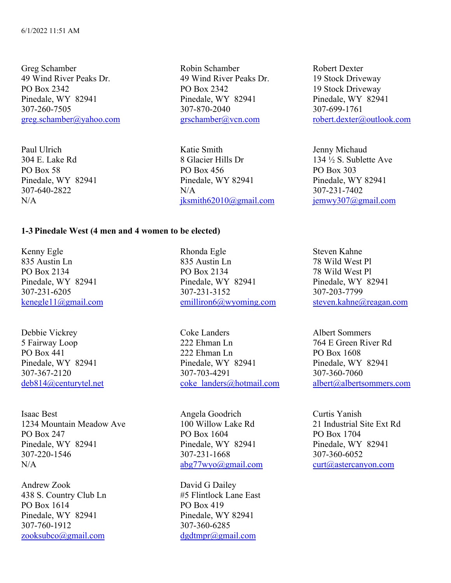Greg Schamber Robin Schamber Robert Dexter 49 Wind River Peaks Dr. 49 Wind River Peaks Dr. 19 Stock Driveway PO Box 2342 19 Stock Driveway Pinedale, WY 82941 Pinedale, WY 82941 Pinedale, WY 82941 307-260-7505 307-870-2040 307-699-1761

Paul Ulrich **Communist Communist Communist Communist Communist Communist Communist Communist Communist Communist Communist Communist Communist Communist Communist Communist Communist Communist Communist Communist Communist** 304 E. Lake Rd 8 Glacier Hills Dr 134 ½ S. Sublette Ave PO Box 58 PO Box 456 PO Box 303 Pinedale, WY 82941 Pinedale, WY 82941 Pinedale, WY 82941 307-640-2822 N/A 307-231-7402 N/A jksmith62010@gmail.com jemwy307@gmail.com

greg.schamber@yahoo.com grschamber@vcn.com robert.dexter@outlook.com

### **1-3 Pinedale West (4 men and 4 women to be elected)**

Kenny Egle Rhonda Egle Steven Kahne

Isaac Best Angela Goodrich Curtis Yanish 1234 Mountain Meadow Ave 100 Willow Lake Rd 21 Industrial Site Ext Rd PO Box 247 **PO Box 1604** PO Box 1704 Pinedale, WY 82941 Pinedale, WY 82941 Pinedale, WY 82941 307-220-1546 307-231-1668 307-360-6052 N/A abg77wyo@gmail.com curt@astercanyon.com

Andrew Zook David G Dailey 438 S. Country Club Ln #5 Flintlock Lane East PO Box 1614 PO Box 419 Pinedale, WY 82941 Pinedale, WY 82941 307-760-1912 307-360-6285 zooksubco@gmail.com dgdtmpr@gmail.com

835 Austin Ln 835 Austin Ln 78 Wild West Pl PO Box 2134 PO Box 2134 78 Wild West Pl Pinedale, WY 82941 Pinedale, WY 82941 Pinedale, WY 82941 307-231-6205 307-231-3152 307-203-7799 kenegle11@gmail.com emilliron6@wyoming.com steven.kahne@reagan.com

Debbie Vickrey Coke Landers Albert Sommers 5 Fairway Loop 222 Ehman Ln 764 E Green River Rd PO Box 441 222 Ehman Ln PO Box 1608 Pinedale, WY 82941 Pinedale, WY 82941 Pinedale, WY 82941 307-367-2120 307-703-4291 307-360-7060 deb814@centurytel.net coke\_landers@hotmail.com albert@albertsommers.com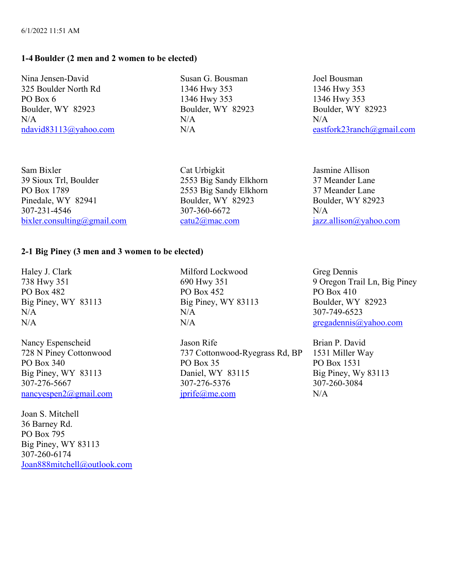# **1-4Boulder (2 men and 2 women to be elected)**

Nina Jensen-David Susan G. Bousman Joel Bousman 325 Boulder North Rd 1346 Hwy 353 1346 Hwy 353 PO Box 6 1346 Hwy 353 1346 Hwy 353 Boulder, WY 82923 Boulder, WY 82923 Boulder, WY 82923  $N/A$   $N/A$ 

ndavid83113@yahoo.com N/A eastfork23ranch@gmail.com

Sam Bixler Cat Urbigkit Jasmine Allison 39 Sioux Trl, Boulder 2553 Big Sandy Elkhorn 37 Meander Lane PO Box 1789 2553 Big Sandy Elkhorn 37 Meander Lane Pinedale, WY 82941 Boulder, WY 82923 Boulder, WY 82923 307-231-4546 307-360-6672 N/A bixler.consulting@gmail.com catu2@mac.com jazz.allison@yahoo.com

# **2-1 Big Piney (3 men and 3 women to be elected)**

Haley J. Clark Milford Lockwood Greg Dennis

307-276-5667 307-276-5376

Joan S. Mitchell 36 Barney Rd. PO Box 795 Big Piney, WY 83113 307-260-6174 Joan888mitchell@outlook.com

PO Box 482 PO Box 452 PO Box 410 Big Piney, WY 83113 Big Piney, WY 83113 Boulder, WY 82923  $N/A$  307-749-6523

Nancy Espenscheid Jason Rife Brian P. David 728 N Piney Cottonwood 737 Cottonwood-Ryegrass Rd, BP 1531 Miller Way PO Box 340 **PO Box 35** PO Box 35 **PO Box 1531** Big Piney, WY 83113<br>
307-276-5667<br>
307-276-5376<br>
Big Piney, Wy 83113<br>
307-276-5667<br>
307-276-5376 nancyespen2@gmail.com jprife@me.com N/A

738 Hwy 351 690 Hwy 351 9 Oregon Trail Ln, Big Piney N/A N/A gregadennis@yahoo.com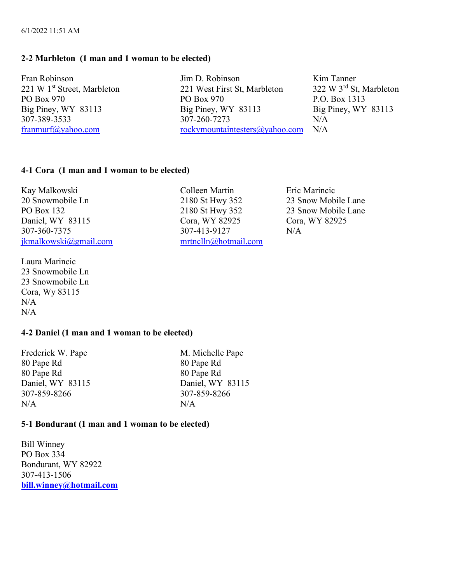# **2-2 Marbleton (1 man and 1 woman to be elected)**

Fran Robinson March 1988 (Jim D. Robinson Kim Tanner

221 W 1<sup>st</sup> Street, Marbleton 221 West First St, Marbleton 322 W 3<sup>rd</sup> St, Marbleton PO Box 970 PO Box 970 P.O. Box 1313 Big Piney, WY 83113 Big Piney, WY 83113 Big Piney, WY 83113 307-389-3533 307-260-7273 N/A franmurf@yahoo.com rockymountaintesters@yahoo.com N/A

# **4-1 Cora (1 man and 1 woman to be elected)**

Kay Malkowski Colleen Martin Eric Marincic 20 Snowmobile Ln 2180 St Hwy 352 23 Snow Mobile Lane PO Box 132 2180 St Hwy 352 23 Snow Mobile Lane Daniel, WY 83115 Cora, WY 82925 Cora, WY 82925 307-360-7375 307-413-9127 N/A jkmalkowski@gmail.com mrtnclln@hotmail.com

Laura Marincic 23 Snowmobile Ln 23 Snowmobile Ln Cora, Wy 83115 N/A N/A

## **4-2 Daniel (1 man and 1 woman to be elected)**

Frederick W. Pape M. Michelle Pape 80 Pape Rd 80 Pape Rd 80 Pape Rd 80 Pape Rd 307-859-8266 307-859-8266  $N/A$   $N/A$ 

Daniel, WY 83115 Daniel, WY 83115

### **5-1 Bondurant (1 man and 1 woman to be elected)**

Bill Winney PO Box 334 Bondurant, WY 82922 307-413-1506 **bill.winney@hotmail.com**